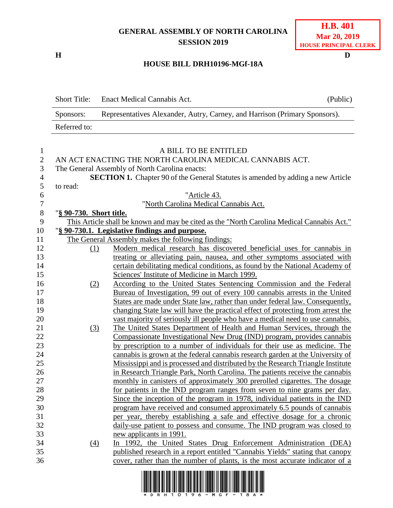## **GENERAL ASSEMBLY OF NORTH CAROLINA SESSION 2019**

**H D**

## **HOUSE BILL DRH10196-MGf-18A**

|                  | <b>Short Title:</b>     | Enact Medical Cannabis Act.                                                                | (Public) |
|------------------|-------------------------|--------------------------------------------------------------------------------------------|----------|
|                  | Sponsors:               | Representatives Alexander, Autry, Carney, and Harrison (Primary Sponsors).                 |          |
|                  | Referred to:            |                                                                                            |          |
| $\mathbf{1}$     |                         | A BILL TO BE ENTITLED                                                                      |          |
| $\mathbf{2}$     |                         | AN ACT ENACTING THE NORTH CAROLINA MEDICAL CANNABIS ACT.                                   |          |
| $\mathfrak{Z}$   |                         | The General Assembly of North Carolina enacts:                                             |          |
| $\overline{4}$   |                         | <b>SECTION 1.</b> Chapter 90 of the General Statutes is amended by adding a new Article    |          |
| 5                | to read:                |                                                                                            |          |
| 6                |                         | "Article 43.                                                                               |          |
| $\boldsymbol{7}$ |                         | "North Carolina Medical Cannabis Act.                                                      |          |
| $8\,$            | "§ 90-730. Short title. |                                                                                            |          |
| 9                |                         | This Article shall be known and may be cited as the "North Carolina Medical Cannabis Act." |          |
| 10               |                         | "§ 90-730.1. Legislative findings and purpose.                                             |          |
| 11               |                         | The General Assembly makes the following findings:                                         |          |
| 12               |                         | Modern medical research has discovered beneficial uses for cannabis in<br>(1)              |          |
| 13               |                         | treating or alleviating pain, nausea, and other symptoms associated with                   |          |
| 14               |                         | certain debilitating medical conditions, as found by the National Academy of               |          |
| 15               |                         | Sciences' Institute of Medicine in March 1999.                                             |          |
| 16               | (2)                     | According to the United States Sentencing Commission and the Federal                       |          |
| 17               |                         | Bureau of Investigation, 99 out of every 100 cannabis arrests in the United                |          |
| 18               |                         | States are made under State law, rather than under federal law. Consequently,              |          |
| 19               |                         | changing State law will have the practical effect of protecting from arrest the            |          |
| 20               |                         | vast majority of seriously ill people who have a medical need to use cannabis.             |          |
| 21               | (3)                     | The United States Department of Health and Human Services, through the                     |          |
| 22               |                         | Compassionate Investigational New Drug (IND) program, provides cannabis                    |          |
| 23               |                         | by prescription to a number of individuals for their use as medicine. The                  |          |
| 24               |                         | cannabis is grown at the federal cannabis research garden at the University of             |          |
| 25               |                         | Mississippi and is processed and distributed by the Research Triangle Institute            |          |
| 26               |                         | in Research Triangle Park, North Carolina. The patients receive the cannabis               |          |
| 27               |                         | monthly in canisters of approximately 300 prerolled cigarettes. The dosage                 |          |
| 28               |                         | for patients in the IND program ranges from seven to nine grams per day.                   |          |
| 29               |                         | Since the inception of the program in 1978, individual patients in the IND                 |          |
| 30               |                         | program have received and consumed approximately 6.5 pounds of cannabis                    |          |
| 31               |                         | per year, thereby establishing a safe and effective dosage for a chronic                   |          |
| 32               |                         | daily-use patient to possess and consume. The IND program was closed to                    |          |
| 33               |                         | new applicants in 1991.                                                                    |          |
| 34               | (4)                     | In 1992, the United States Drug Enforcement Administration (DEA)                           |          |
| 35               |                         | published research in a report entitled "Cannabis Yields" stating that canopy              |          |
| 36               |                         | cover, rather than the number of plants, is the most accurate indicator of a               |          |

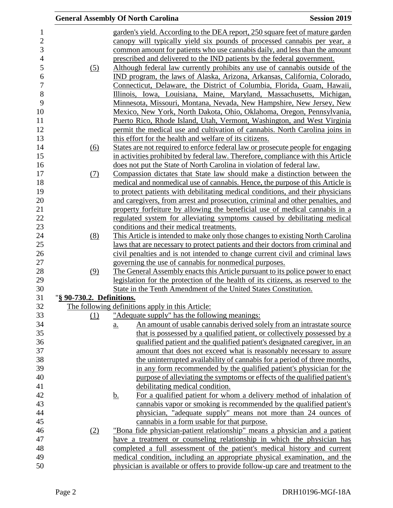|                           |           | <b>General Assembly Of North Carolina</b>                               | <b>Session 2019</b>                                                                                                                                             |
|---------------------------|-----------|-------------------------------------------------------------------------|-----------------------------------------------------------------------------------------------------------------------------------------------------------------|
|                           |           |                                                                         | garden's yield. According to the DEA report, 250 square feet of mature garden                                                                                   |
|                           |           |                                                                         | canopy will typically yield six pounds of processed cannabis per year, a                                                                                        |
|                           |           |                                                                         | common amount for patients who use cannabis daily, and less than the amount                                                                                     |
|                           |           | prescribed and delivered to the IND patients by the federal government. |                                                                                                                                                                 |
| (5)                       |           |                                                                         | Although federal law currently prohibits any use of cannabis outside of the                                                                                     |
|                           |           |                                                                         | IND program, the laws of Alaska, Arizona, Arkansas, California, Colorado,                                                                                       |
|                           |           |                                                                         | Connecticut, Delaware, the District of Columbia, Florida, Guam, Hawaii,                                                                                         |
|                           |           |                                                                         | Illinois, Iowa, Louisiana, Maine, Maryland, Massachusetts, Michigan,                                                                                            |
|                           |           |                                                                         | Minnesota, Missouri, Montana, Nevada, New Hampshire, New Jersey, New                                                                                            |
|                           |           |                                                                         | Mexico, New York, North Dakota, Ohio, Oklahoma, Oregon, Pennsylvania,                                                                                           |
|                           |           |                                                                         | Puerto Rico, Rhode Island, Utah, Vermont, Washington, and West Virginia                                                                                         |
|                           |           |                                                                         | permit the medical use and cultivation of cannabis. North Carolina joins in                                                                                     |
|                           |           | this effort for the health and welfare of its citizens.                 |                                                                                                                                                                 |
|                           |           |                                                                         | States are not required to enforce federal law or prosecute people for engaging                                                                                 |
| (6)                       |           |                                                                         | in activities prohibited by federal law. Therefore, compliance with this Article                                                                                |
|                           |           |                                                                         |                                                                                                                                                                 |
|                           |           | does not put the State of North Carolina in violation of federal law.   | Compassion dictates that State law should make a distinction between the                                                                                        |
| (7)                       |           |                                                                         |                                                                                                                                                                 |
|                           |           |                                                                         | medical and nonmedical use of cannabis. Hence, the purpose of this Article is<br>to protect patients with debilitating medical conditions, and their physicians |
|                           |           |                                                                         | and caregivers, from arrest and prosecution, criminal and other penalties, and                                                                                  |
|                           |           |                                                                         | property forfeiture by allowing the beneficial use of medical cannabis in a                                                                                     |
|                           |           |                                                                         | regulated system for alleviating symptoms caused by debilitating medical                                                                                        |
|                           |           | conditions and their medical treatments.                                |                                                                                                                                                                 |
| (8)                       |           |                                                                         | This Article is intended to make only those changes to existing North Carolina                                                                                  |
|                           |           |                                                                         | laws that are necessary to protect patients and their doctors from criminal and                                                                                 |
|                           |           |                                                                         | civil penalties and is not intended to change current civil and criminal laws                                                                                   |
|                           |           | governing the use of cannabis for nonmedical purposes.                  |                                                                                                                                                                 |
|                           |           |                                                                         | The General Assembly enacts this Article pursuant to its police power to enact                                                                                  |
| (9)                       |           |                                                                         | legislation for the protection of the health of its citizens, as reserved to the                                                                                |
|                           |           | State in the Tenth Amendment of the United States Constitution.         |                                                                                                                                                                 |
| "§ 90-730.2. Definitions. |           |                                                                         |                                                                                                                                                                 |
|                           |           | The following definitions apply in this Article:                        |                                                                                                                                                                 |
| (1)                       |           | "Adequate supply" has the following meanings:                           |                                                                                                                                                                 |
|                           | a.        |                                                                         | An amount of usable cannabis derived solely from an intrastate source                                                                                           |
|                           |           |                                                                         | that is possessed by a qualified patient, or collectively possessed by a                                                                                        |
|                           |           |                                                                         | qualified patient and the qualified patient's designated caregiver, in an                                                                                       |
|                           |           |                                                                         | amount that does not exceed what is reasonably necessary to assure                                                                                              |
|                           |           |                                                                         | the uninterrupted availability of cannabis for a period of three months,                                                                                        |
|                           |           |                                                                         | in any form recommended by the qualified patient's physician for the                                                                                            |
|                           |           |                                                                         | purpose of alleviating the symptoms or effects of the qualified patient's                                                                                       |
|                           |           | debilitating medical condition.                                         |                                                                                                                                                                 |
|                           |           |                                                                         |                                                                                                                                                                 |
|                           | <u>b.</u> |                                                                         | For a qualified patient for whom a delivery method of inhalation of                                                                                             |
|                           |           |                                                                         | cannabis vapor or smoking is recommended by the qualified patient's                                                                                             |
|                           |           |                                                                         | physician, "adequate supply" means not more than 24 ounces of                                                                                                   |
|                           |           | cannabis in a form usable for that purpose.                             |                                                                                                                                                                 |
| (2)                       |           |                                                                         | <u>"Bona fide physician-patient relationship" means a physician and a patient</u>                                                                               |
|                           |           |                                                                         | have a treatment or counseling relationship in which the physician has                                                                                          |
|                           |           |                                                                         | completed a full assessment of the patient's medical history and current                                                                                        |
|                           |           |                                                                         | medical condition, including an appropriate physical examination, and the                                                                                       |
|                           |           |                                                                         | physician is available or offers to provide follow-up care and treatment to the                                                                                 |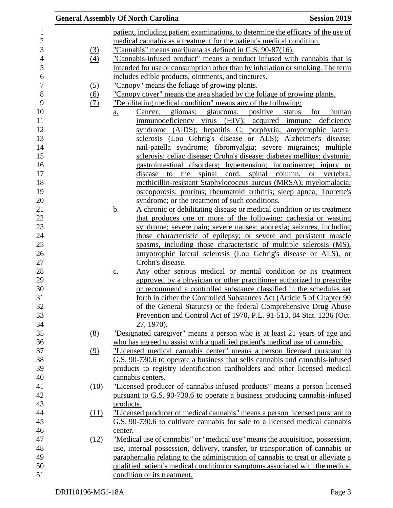|      | <b>General Assembly Of North Carolina</b>                                            | <b>Session 2019</b> |
|------|--------------------------------------------------------------------------------------|---------------------|
|      | patient, including patient examinations, to determine the efficacy of the use of     |                     |
|      | medical cannabis as a treatment for the patient's medical condition.                 |                     |
| (3)  | "Cannabis" means marijuana as defined in G.S. 90-87(16).                             |                     |
| (4)  | <u>"Cannabis-infused product" means a product infused with cannabis that is</u>      |                     |
|      | intended for use or consumption other than by inhalation or smoking. The term        |                     |
|      | includes edible products, ointments, and tinctures.                                  |                     |
| (5)  | "Canopy" means the foliage of growing plants.                                        |                     |
| (6)  | "Canopy cover" means the area shaded by the foliage of growing plants.               |                     |
| (7)  | "Debilitating medical condition" means any of the following:                         |                     |
|      | Cancer; gliomas; glaucoma; positive status<br>$\underline{a}$ .                      | for human           |
|      | immunodeficiency virus (HIV); acquired immune deficiency                             |                     |
|      | syndrome (AIDS); hepatitis C; porphyria; amyotrophic lateral                         |                     |
|      | sclerosis (Lou Gehrig's disease or ALS); Alzheimer's disease;                        |                     |
|      | nail-patella syndrome; fibromyalgia; severe migraines; multiple                      |                     |
|      | sclerosis; celiac disease; Crohn's disease; diabetes mellitus; dystonia;             |                     |
|      | gastrointestinal disorders; hypertension; incontinence; injury or                    |                     |
|      | the spinal cord, spinal column, or vertebra;<br>disease<br>to                        |                     |
|      | methicillin-resistant Staphylococcus aureus (MRSA); myelomalacia;                    |                     |
|      | osteoporosis; pruritus; rheumatoid arthritis; sleep apnea; Tourette's                |                     |
|      | syndrome; or the treatment of such conditions.                                       |                     |
|      | <u>b.</u><br>A chronic or debilitating disease or medical condition or its treatment |                     |
|      | that produces one or more of the following: cachexia or wasting                      |                     |
|      | syndrome; severe pain; severe nausea; anorexia; seizures, including                  |                     |
|      | those characteristic of epilepsy; or severe and persistent muscle                    |                     |
|      | spasms, including those characteristic of multiple sclerosis (MS),                   |                     |
|      | amyotrophic lateral sclerosis (Lou Gehrig's disease or ALS), or                      |                     |
|      | Crohn's disease.                                                                     |                     |
|      | Any other serious medical or mental condition or its treatment<br>$\underline{c}$ .  |                     |
|      | approved by a physician or other practitioner authorized to prescribe                |                     |
|      | or recommend a controlled substance classified in the schedules set                  |                     |
|      | forth in either the Controlled Substances Act (Article 5 of Chapter 90               |                     |
|      | of the General Statutes) or the federal Comprehensive Drug Abuse                     |                     |
|      | Prevention and Control Act of 1970, P.L. 91-513, 84 Stat. 1236 (Oct.                 |                     |
|      | 27, 1970).                                                                           |                     |
| (8)  | <u>"Designated caregiver" means a person who is at least 21 years of age and</u>     |                     |
|      | who has agreed to assist with a qualified patient's medical use of cannabis.         |                     |
| (9)  | "Licensed medical cannabis center" means a person licensed pursuant to               |                     |
|      | G.S. 90-730.6 to operate a business that sells cannabis and cannabis-infused         |                     |
|      | products to registry identification cardholders and other licensed medical           |                     |
|      | cannabis centers.                                                                    |                     |
| (10) | "Licensed producer of cannabis-infused products" means a person licensed             |                     |
|      | pursuant to G.S. 90-730.6 to operate a business producing cannabis-infused           |                     |
|      | products.                                                                            |                     |
| (11) | "Licensed producer of medical cannabis" means a person licensed pursuant to          |                     |
|      | G.S. 90-730.6 to cultivate cannabis for sale to a licensed medical cannabis          |                     |
|      | center.                                                                              |                     |
| (12) | "Medical use of cannabis" or "medical use" means the acquisition, possession,        |                     |
|      | use, internal possession, delivery, transfer, or transportation of cannabis or       |                     |
|      | paraphernalia relating to the administration of cannabis to treat or alleviate a     |                     |
|      | qualified patient's medical condition or symptoms associated with the medical        |                     |
|      | condition or its treatment.                                                          |                     |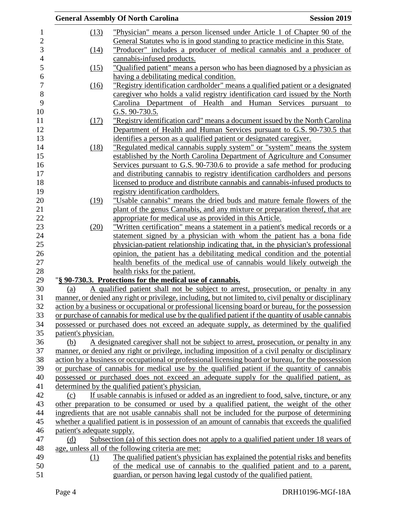|                |                            | <b>General Assembly Of North Carolina</b>                                                              | <b>Session 2019</b> |
|----------------|----------------------------|--------------------------------------------------------------------------------------------------------|---------------------|
| $\mathbf{1}$   | (13)                       | "Physician" means a person licensed under Article 1 of Chapter 90 of the                               |                     |
| $\overline{2}$ |                            | General Statutes who is in good standing to practice medicine in this State.                           |                     |
| 3              | (14)                       | "Producer" includes a producer of medical cannabis and a producer of                                   |                     |
| $\overline{4}$ |                            | cannabis-infused products.                                                                             |                     |
| 5              | (15)                       | "Qualified patient" means a person who has been diagnosed by a physician as                            |                     |
| 6              |                            | having a debilitating medical condition.                                                               |                     |
| $\overline{7}$ | (16)                       | "Registry identification cardholder" means a qualified patient or a designated                         |                     |
| 8              |                            | caregiver who holds a valid registry identification card issued by the North                           |                     |
| 9              |                            | Carolina Department of Health and Human Services pursuant to                                           |                     |
| 10             |                            | G.S. 90-730.5.                                                                                         |                     |
| 11             | (17)                       | "Registry identification card" means a document issued by the North Carolina                           |                     |
| 12             |                            | Department of Health and Human Services pursuant to G.S. 90-730.5 that                                 |                     |
| 13             |                            | identifies a person as a qualified patient or designated caregiver.                                    |                     |
| 14             | (18)                       | "Regulated medical cannabis supply system" or "system" means the system                                |                     |
| 15             |                            | established by the North Carolina Department of Agriculture and Consumer                               |                     |
| 16             |                            | Services pursuant to G.S. 90-730.6 to provide a safe method for producing                              |                     |
| 17             |                            | and distributing cannabis to registry identification cardholders and persons                           |                     |
| 18             |                            | licensed to produce and distribute cannabis and cannabis-infused products to                           |                     |
| 19             |                            | registry identification cardholders.                                                                   |                     |
| 20             | (19)                       | "Usable cannabis" means the dried buds and mature female flowers of the                                |                     |
| 21             |                            | plant of the genus Cannabis, and any mixture or preparation thereof, that are                          |                     |
| 22             |                            | appropriate for medical use as provided in this Article.                                               |                     |
| 23             | (20)                       | "Written certification" means a statement in a patient's medical records or a                          |                     |
| 24             |                            | statement signed by a physician with whom the patient has a bona fide                                  |                     |
| 25             |                            | physician-patient relationship indicating that, in the physician's professional                        |                     |
| 26             |                            | opinion, the patient has a debilitating medical condition and the potential                            |                     |
| 27             |                            | health benefits of the medical use of cannabis would likely outweigh the                               |                     |
| 28             |                            | health risks for the patient.                                                                          |                     |
| 29             |                            | "§ 90-730.3. Protections for the medical use of cannabis.                                              |                     |
| 30             | (a)                        | A qualified patient shall not be subject to arrest, prosecution, or penalty in any                     |                     |
| 31             |                            | manner, or denied any right or privilege, including, but not limited to, civil penalty or disciplinary |                     |
| 32             |                            | action by a business or occupational or professional licensing board or bureau, for the possession     |                     |
| 33             |                            | or purchase of cannabis for medical use by the qualified patient if the quantity of usable cannabis    |                     |
| 34             |                            | possessed or purchased does not exceed an adequate supply, as determined by the qualified              |                     |
| 35             | patient's physician.       |                                                                                                        |                     |
| 36             | (b)                        | A designated caregiver shall not be subject to arrest, prosecution, or penalty in any                  |                     |
| 37             |                            | manner, or denied any right or privilege, including imposition of a civil penalty or disciplinary      |                     |
| 38             |                            | action by a business or occupational or professional licensing board or bureau, for the possession     |                     |
| 39             |                            | or purchase of cannabis for medical use by the qualified patient if the quantity of cannabis           |                     |
| 40             |                            | possessed or purchased does not exceed an adequate supply for the qualified patient, as                |                     |
| 41             |                            | determined by the qualified patient's physician.                                                       |                     |
| 42             | (c)                        | If usable cannabis is infused or added as an ingredient to food, salve, tincture, or any               |                     |
| 43             |                            | other preparation to be consumed or used by a qualified patient, the weight of the other               |                     |
| 44             |                            | ingredients that are not usable cannabis shall not be included for the purpose of determining          |                     |
| 45             |                            | whether a qualified patient is in possession of an amount of cannabis that exceeds the qualified       |                     |
| 46             | patient's adequate supply. |                                                                                                        |                     |
| 47             | (d)                        | Subsection (a) of this section does not apply to a qualified patient under 18 years of                 |                     |
| 48             |                            | age, unless all of the following criteria are met:                                                     |                     |
| 49             | (1)                        | The qualified patient's physician has explained the potential risks and benefits                       |                     |
| 50             |                            | of the medical use of cannabis to the qualified patient and to a parent,                               |                     |
| 51             |                            | guardian, or person having legal custody of the qualified patient.                                     |                     |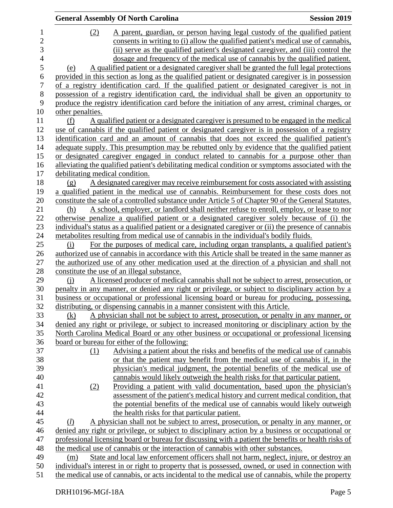|                | <b>General Assembly Of North Carolina</b>                                                                                                                                                        | <b>Session 2019</b> |
|----------------|--------------------------------------------------------------------------------------------------------------------------------------------------------------------------------------------------|---------------------|
| $\mathbf{1}$   | A parent, guardian, or person having legal custody of the qualified patient<br>(2)                                                                                                               |                     |
| $\overline{c}$ | consents in writing to (i) allow the qualified patient's medical use of cannabis,                                                                                                                |                     |
| 3              | (ii) serve as the qualified patient's designated caregiver, and (iii) control the                                                                                                                |                     |
| $\overline{4}$ | dosage and frequency of the medical use of cannabis by the qualified patient.                                                                                                                    |                     |
| 5              | A qualified patient or a designated caregiver shall be granted the full legal protections<br>(e)                                                                                                 |                     |
| 6              | provided in this section as long as the qualified patient or designated caregiver is in possession                                                                                               |                     |
| $\overline{7}$ | of a registry identification card. If the qualified patient or designated caregiver is not in                                                                                                    |                     |
| 8              | possession of a registry identification card, the individual shall be given an opportunity to                                                                                                    |                     |
| 9              | produce the registry identification card before the initiation of any arrest, criminal charges, or                                                                                               |                     |
| 10             | other penalties.                                                                                                                                                                                 |                     |
| 11             | A qualified patient or a designated caregiver is presumed to be engaged in the medical<br>(f)                                                                                                    |                     |
| 12             | use of cannabis if the qualified patient or designated caregiver is in possession of a registry                                                                                                  |                     |
| 13             | identification card and an amount of cannabis that does not exceed the qualified patient's                                                                                                       |                     |
| 14             | adequate supply. This presumption may be rebutted only by evidence that the qualified patient                                                                                                    |                     |
| 15             | or designated caregiver engaged in conduct related to cannabis for a purpose other than                                                                                                          |                     |
| 16             | alleviating the qualified patient's debilitating medical condition or symptoms associated with the                                                                                               |                     |
| 17             | debilitating medical condition.                                                                                                                                                                  |                     |
| 18             | A designated caregiver may receive reimbursement for costs associated with assisting<br>(g)                                                                                                      |                     |
| 19             | a qualified patient in the medical use of cannabis. Reimbursement for these costs does not                                                                                                       |                     |
| 20             | constitute the sale of a controlled substance under Article 5 of Chapter 90 of the General Statutes.                                                                                             |                     |
| $21\,$         | A school, employer, or landlord shall neither refuse to enroll, employ, or lease to nor<br>(h)                                                                                                   |                     |
| 22             | otherwise penalize a qualified patient or a designated caregiver solely because of (i) the                                                                                                       |                     |
| 23             | individual's status as a qualified patient or a designated caregiver or (ii) the presence of cannabis                                                                                            |                     |
| 24             | metabolities resulting from medical use of cannabis in the individual's bodily fluids.                                                                                                           |                     |
| 25             | For the purposes of medical care, including organ transplants, a qualified patient's<br>(i)                                                                                                      |                     |
| 26             | authorized use of cannabis in accordance with this Article shall be treated in the same manner as                                                                                                |                     |
| 27             | the authorized use of any other medication used at the direction of a physician and shall not                                                                                                    |                     |
| 28             | constitute the use of an illegal substance.                                                                                                                                                      |                     |
| 29<br>30       | A licensed producer of medical cannabis shall not be subject to arrest, prosecution, or<br>$\Omega$                                                                                              |                     |
| 31             | penalty in any manner, or denied any right or privilege, or subject to disciplinary action by a<br>business or occupational or professional licensing board or bureau for producing, possessing, |                     |
| 32             | distributing, or dispensing cannabis in a manner consistent with this Article.                                                                                                                   |                     |
| 33             | A physician shall not be subject to arrest, prosecution, or penalty in any manner, or<br>(k)                                                                                                     |                     |
| 34             | denied any right or privilege, or subject to increased monitoring or disciplinary action by the                                                                                                  |                     |
| 35             | North Carolina Medical Board or any other business or occupational or professional licensing                                                                                                     |                     |
| 36             | board or bureau for either of the following:                                                                                                                                                     |                     |
| 37             | Advising a patient about the risks and benefits of the medical use of cannabis<br>(1)                                                                                                            |                     |
| 38             | or that the patient may benefit from the medical use of cannabis if, in the                                                                                                                      |                     |
| 39             | physician's medical judgment, the potential benefits of the medical use of                                                                                                                       |                     |
| 40             | cannabis would likely outweigh the health risks for that particular patient.                                                                                                                     |                     |
| 41             | <u>Providing a patient with valid documentation, based upon the physician's</u><br>(2)                                                                                                           |                     |
| 42             | assessment of the patient's medical history and current medical condition, that                                                                                                                  |                     |
| 43             | the potential benefits of the medical use of cannabis would likely outweigh                                                                                                                      |                     |
| 44             | the health risks for that particular patient.                                                                                                                                                    |                     |
| 45             | A physician shall not be subject to arrest, prosecution, or penalty in any manner, or<br>(l)                                                                                                     |                     |
| 46             | denied any right or privilege, or subject to disciplinary action by a business or occupational or                                                                                                |                     |
| 47             | professional licensing board or bureau for discussing with a patient the benefits or health risks of                                                                                             |                     |
| 48             | the medical use of cannabis or the interaction of cannabis with other substances.                                                                                                                |                     |
| 49             | State and local law enforcement officers shall not harm, neglect, injure, or destroy an<br>(m)                                                                                                   |                     |
| 50             | individual's interest in or right to property that is possessed, owned, or used in connection with                                                                                               |                     |
| 51             | the medical use of cannabis, or acts incidental to the medical use of cannabis, while the property                                                                                               |                     |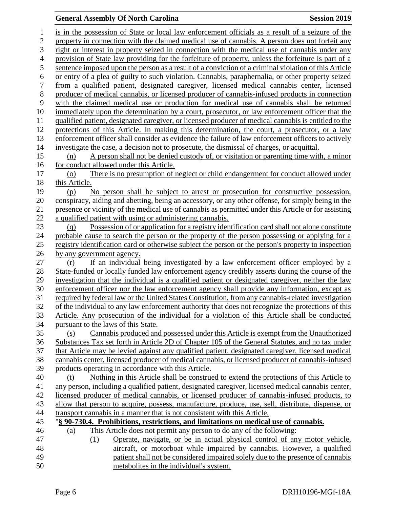## **General Assembly Of North Carolina Session 2019**

| $\mathbf{1}$     | is in the possession of State or local law enforcement officials as a result of a seizure of the                                                                                                 |
|------------------|--------------------------------------------------------------------------------------------------------------------------------------------------------------------------------------------------|
| $\overline{c}$   | property in connection with the claimed medical use of cannabis. A person does not forfeit any                                                                                                   |
| 3                | right or interest in property seized in connection with the medical use of cannabis under any                                                                                                    |
| $\overline{4}$   | provision of State law providing for the forfeiture of property, unless the forfeiture is part of a                                                                                              |
| 5                | sentence imposed upon the person as a result of a conviction of a criminal violation of this Article                                                                                             |
| 6                | or entry of a plea of guilty to such violation. Cannabis, paraphernalia, or other property seized                                                                                                |
| $\boldsymbol{7}$ | from a qualified patient, designated caregiver, licensed medical cannabis center, licensed                                                                                                       |
| 8                | producer of medical cannabis, or licensed producer of cannabis-infused products in connection                                                                                                    |
| 9                | with the claimed medical use or production for medical use of cannabis shall be returned                                                                                                         |
| 10               | immediately upon the determination by a court, prosecutor, or law enforcement officer that the                                                                                                   |
| 11               | qualified patient, designated caregiver, or licensed producer of medical cannabis is entitled to the                                                                                             |
| 12               | protections of this Article. In making this determination, the court, a prosecutor, or a law                                                                                                     |
| 13               | enforcement officer shall consider as evidence the failure of law enforcement officers to actively                                                                                               |
| 14               | investigate the case, a decision not to prosecute, the dismissal of charges, or acquittal.                                                                                                       |
| 15               | A person shall not be denied custody of, or visitation or parenting time with, a minor<br>(n)                                                                                                    |
| 16               | for conduct allowed under this Article.                                                                                                                                                          |
| 17               | There is no presumption of neglect or child endangerment for conduct allowed under<br>$\left( 0 \right)$                                                                                         |
| 18               | this Article.                                                                                                                                                                                    |
| 19               | No person shall be subject to arrest or prosecution for constructive possession,<br>(p)                                                                                                          |
| 20               | conspiracy, aiding and abetting, being an accessory, or any other offense, for simply being in the                                                                                               |
| 21               | presence or vicinity of the medical use of cannabis as permitted under this Article or for assisting                                                                                             |
| 22               | a qualified patient with using or administering cannabis.                                                                                                                                        |
| 23               | Possession of or application for a registry identification card shall not alone constitute<br>(q)                                                                                                |
| 24               | probable cause to search the person or the property of the person possessing or applying for a                                                                                                   |
| 25               | registry identification card or otherwise subject the person or the person's property to inspection                                                                                              |
| 26               | by any government agency.                                                                                                                                                                        |
| 27               | If an individual being investigated by a law enforcement officer employed by a<br>(r)                                                                                                            |
| 28               | State-funded or locally funded law enforcement agency credibly asserts during the course of the                                                                                                  |
| 29<br>30         | investigation that the individual is a qualified patient or designated caregiver, neither the law<br>enforcement officer nor the law enforcement agency shall provide any information, except as |
| 31               | required by federal law or the United States Constitution, from any cannabis-related investigation                                                                                               |
| 32               | of the individual to any law enforcement authority that does not recognize the protections of this                                                                                               |
| 33               | Article. Any prosecution of the individual for a violation of this Article shall be conducted                                                                                                    |
| 34               | pursuant to the laws of this State.                                                                                                                                                              |
| 35               | Cannabis produced and possessed under this Article is exempt from the Unauthorized<br>(s)                                                                                                        |
| 36               | Substances Tax set forth in Article 2D of Chapter 105 of the General Statutes, and no tax under                                                                                                  |
| 37               | that Article may be levied against any qualified patient, designated caregiver, licensed medical                                                                                                 |
| 38               | cannabis center, licensed producer of medical cannabis, or licensed producer of cannabis-infused                                                                                                 |
| 39               | products operating in accordance with this Article.                                                                                                                                              |
| 40               | Nothing in this Article shall be construed to extend the protections of this Article to<br>(t)                                                                                                   |
| 41               | any person, including a qualified patient, designated caregiver, licensed medical cannabis center,                                                                                               |
| 42               | licensed producer of medical cannabis, or licensed producer of cannabis-infused products, to                                                                                                     |
| 43               | allow that person to acquire, possess, manufacture, produce, use, sell, distribute, dispense, or                                                                                                 |
| 44               | transport cannabis in a manner that is not consistent with this Article.                                                                                                                         |
| 45               | "§ 90-730.4. Prohibitions, restrictions, and limitations on medical use of cannabis.                                                                                                             |
| 46               | This Article does not permit any person to do any of the following:<br>(a)                                                                                                                       |
| 47               | Operate, navigate, or be in actual physical control of any motor vehicle,<br>(1)                                                                                                                 |
| 48               | aircraft, or motorboat while impaired by cannabis. However, a qualified                                                                                                                          |
| 49               | patient shall not be considered impaired solely due to the presence of cannabis                                                                                                                  |
| 50               | metabolites in the individual's system.                                                                                                                                                          |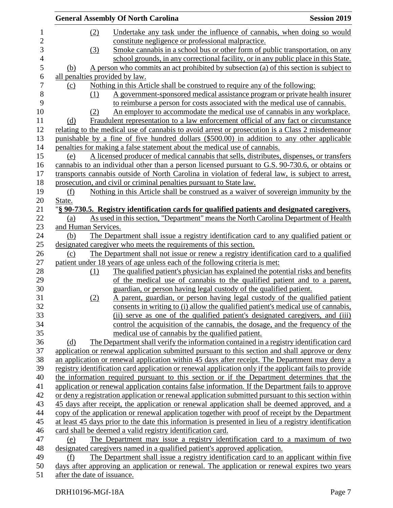|                             | <b>General Assembly Of North Carolina</b>                                                              | <b>Session 2019</b> |
|-----------------------------|--------------------------------------------------------------------------------------------------------|---------------------|
| (2)                         | Undertake any task under the influence of cannabis, when doing so would                                |                     |
|                             | constitute negligence or professional malpractice.                                                     |                     |
| (3)                         | Smoke cannabis in a school bus or other form of public transportation, on any                          |                     |
|                             | school grounds, in any correctional facility, or in any public place in this State.                    |                     |
| (b)                         | A person who commits an act prohibited by subsection (a) of this section is subject to                 |                     |
|                             | all penalties provided by law.                                                                         |                     |
| (c)                         | Nothing in this Article shall be construed to require any of the following:                            |                     |
| (1)                         | A government-sponsored medical assistance program or private health insurer                            |                     |
|                             | to reimburse a person for costs associated with the medical use of cannabis.                           |                     |
| (2)                         | An employer to accommodate the medical use of cannabis in any workplace.                               |                     |
| (d)                         | Fraudulent representation to a law enforcement official of any fact or circumstance                    |                     |
|                             | relating to the medical use of cannabis to avoid arrest or prosecution is a Class 2 misdemeanor        |                     |
|                             | punishable by a fine of five hundred dollars (\$500.00) in addition to any other applicable            |                     |
|                             | penalties for making a false statement about the medical use of cannabis.                              |                     |
| (e)                         | A licensed producer of medical cannabis that sells, distributes, dispenses, or transfers               |                     |
|                             | cannabis to an individual other than a person licensed pursuant to G.S. 90-730.6, or obtains or        |                     |
|                             | transports cannabis outside of North Carolina in violation of federal law, is subject to arrest,       |                     |
|                             | prosecution, and civil or criminal penalties pursuant to State law.                                    |                     |
| (f)                         | Nothing in this Article shall be construed as a waiver of sovereign immunity by the                    |                     |
| State.                      |                                                                                                        |                     |
|                             | "§ 90-730.5. Registry identification cards for qualified patients and designated caregivers.           |                     |
| (a)                         | As used in this section, "Department" means the North Carolina Department of Health                    |                     |
| and Human Services.         |                                                                                                        |                     |
| (b)                         | The Department shall issue a registry identification card to any qualified patient or                  |                     |
|                             | designated caregiver who meets the requirements of this section.                                       |                     |
| (c)                         | The Department shall not issue or renew a registry identification card to a qualified                  |                     |
|                             | patient under 18 years of age unless each of the following criteria is met:                            |                     |
| (1)                         | The qualified patient's physician has explained the potential risks and benefits                       |                     |
|                             | of the medical use of cannabis to the qualified patient and to a parent,                               |                     |
|                             | guardian, or person having legal custody of the qualified patient.                                     |                     |
| (2)                         | A parent, guardian, or person having legal custody of the qualified patient                            |                     |
|                             | consents in writing to (i) allow the qualified patient's medical use of cannabis,                      |                     |
|                             | (ii) serve as one of the qualified patient's designated caregivers, and (iii)                          |                     |
|                             | control the acquisition of the cannabis, the dosage, and the frequency of the                          |                     |
|                             | medical use of cannabis by the qualified patient.                                                      |                     |
| (d)                         | The Department shall verify the information contained in a registry identification card                |                     |
|                             | application or renewal application submitted pursuant to this section and shall approve or deny        |                     |
|                             | an application or renewal application within 45 days after receipt. The Department may deny a          |                     |
|                             | registry identification card application or renewal application only if the applicant fails to provide |                     |
|                             | the information required pursuant to this section or if the Department determines that the             |                     |
|                             | application or renewal application contains false information. If the Department fails to approve      |                     |
|                             | or deny a registration application or renewal application submitted pursuant to this section within    |                     |
|                             | 45 days after receipt, the application or renewal application shall be deemed approved, and a          |                     |
|                             | copy of the application or renewal application together with proof of receipt by the Department        |                     |
|                             | at least 45 days prior to the date this information is presented in lieu of a registry identification  |                     |
|                             | card shall be deemed a valid registry identification card.                                             |                     |
| (e)                         | The Department may issue a registry identification card to a maximum of two                            |                     |
|                             | designated caregivers named in a qualified patient's approved application.                             |                     |
| (f)                         | The Department shall issue a registry identification card to an applicant within five                  |                     |
|                             | days after approving an application or renewal. The application or renewal expires two years           |                     |
| after the date of issuance. |                                                                                                        |                     |
|                             |                                                                                                        |                     |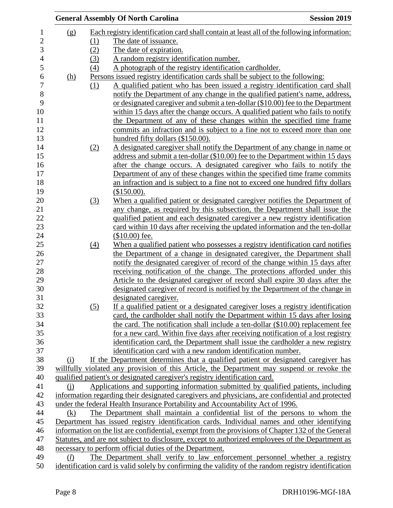|                |            |                   | <b>General Assembly Of North Carolina</b>                                                                                                                         | <b>Session 2019</b> |
|----------------|------------|-------------------|-------------------------------------------------------------------------------------------------------------------------------------------------------------------|---------------------|
| $\mathbf{1}$   | (g)        |                   | Each registry identification card shall contain at least all of the following information:                                                                        |                     |
| $\overline{2}$ |            | (1)               | The date of issuance.                                                                                                                                             |                     |
| 3              |            | (2)               | The date of expiration.                                                                                                                                           |                     |
| $\overline{4}$ |            | (3)               | A random registry identification number.                                                                                                                          |                     |
| 5              |            | $\left(4\right)$  | A photograph of the registry identification cardholder.                                                                                                           |                     |
| 6              | <u>(h)</u> |                   | Persons issued registry identification cards shall be subject to the following:                                                                                   |                     |
|                |            | (1)               | A qualified patient who has been issued a registry identification card shall                                                                                      |                     |
| $\,8\,$        |            |                   | notify the Department of any change in the qualified patient's name, address,                                                                                     |                     |
|                |            |                   | or designated caregiver and submit a ten-dollar (\$10.00) fee to the Department                                                                                   |                     |
|                |            |                   | within 15 days after the change occurs. A qualified patient who fails to notify                                                                                   |                     |
|                |            |                   | the Department of any of these changes within the specified time frame                                                                                            |                     |
|                |            |                   | commits an infraction and is subject to a fine not to exceed more than one                                                                                        |                     |
|                |            |                   | hundred fifty dollars (\$150.00).                                                                                                                                 |                     |
|                |            | (2)               | A designated caregiver shall notify the Department of any change in name or                                                                                       |                     |
|                |            |                   | address and submit a ten-dollar (\$10.00) fee to the Department within 15 days                                                                                    |                     |
|                |            |                   | after the change occurs. A designated caregiver who fails to notify the                                                                                           |                     |
|                |            |                   | Department of any of these changes within the specified time frame commits                                                                                        |                     |
|                |            |                   | an infraction and is subject to a fine not to exceed one hundred fifty dollars                                                                                    |                     |
|                |            |                   | (\$150.00).                                                                                                                                                       |                     |
|                |            | (3)               | When a qualified patient or designated caregiver notifies the Department of                                                                                       |                     |
|                |            |                   | any change, as required by this subsection, the Department shall issue the                                                                                        |                     |
|                |            |                   | qualified patient and each designated caregiver a new registry identification                                                                                     |                     |
|                |            |                   | card within 10 days after receiving the updated information and the ten-dollar                                                                                    |                     |
|                |            |                   | $$10.00$ fee.                                                                                                                                                     |                     |
|                |            | $\underline{(4)}$ | When a qualified patient who possesses a registry identification card notifies                                                                                    |                     |
|                |            |                   | the Department of a change in designated caregiver, the Department shall                                                                                          |                     |
|                |            |                   | notify the designated caregiver of record of the change within 15 days after                                                                                      |                     |
|                |            |                   | receiving notification of the change. The protections afforded under this                                                                                         |                     |
|                |            |                   | Article to the designated caregiver of record shall expire 30 days after the                                                                                      |                     |
|                |            |                   | designated caregiver of record is notified by the Department of the change in                                                                                     |                     |
|                |            |                   | designated caregiver.                                                                                                                                             |                     |
|                |            | (5)               | If a qualified patient or a designated caregiver loses a registry identification                                                                                  |                     |
|                |            |                   | card, the cardholder shall notify the Department within 15 days after losing                                                                                      |                     |
|                |            |                   | the card. The notification shall include a ten-dollar (\$10.00) replacement fee                                                                                   |                     |
|                |            |                   | for a new card. Within five days after receiving notification of a lost registry<br>identification card, the Department shall issue the cardholder a new registry |                     |
|                |            |                   | identification card with a new random identification number.                                                                                                      |                     |
|                | (i)        |                   | If the Department determines that a qualified patient or designated caregiver has                                                                                 |                     |
|                |            |                   | willfully violated any provision of this Article, the Department may suspend or revoke the                                                                        |                     |
|                |            |                   | qualified patient's or designated caregiver's registry identification card.                                                                                       |                     |
|                | (i)        |                   | Applications and supporting information submitted by qualified patients, including                                                                                |                     |
|                |            |                   | information regarding their designated caregivers and physicians, are confidential and protected                                                                  |                     |
|                |            |                   | under the federal Health Insurance Portability and Accountability Act of 1996.                                                                                    |                     |
|                | (k)        |                   | The Department shall maintain a confidential list of the persons to whom the                                                                                      |                     |
|                |            |                   | Department has issued registry identification cards. Individual names and other identifying                                                                       |                     |
|                |            |                   | information on the list are confidential, exempt from the provisions of Chapter 132 of the General                                                                |                     |
|                |            |                   | Statutes, and are not subject to disclosure, except to authorized employees of the Department as                                                                  |                     |
|                |            |                   | necessary to perform official duties of the Department.                                                                                                           |                     |
|                | (l)        |                   | The Department shall verify to law enforcement personnel whether a registry                                                                                       |                     |
|                |            |                   | identification card is valid solely by confirming the validity of the random registry identification                                                              |                     |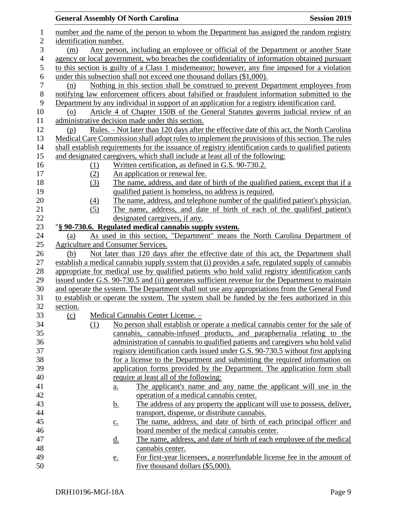|                  |                                                                                         |                   | <b>General Assembly Of North Carolina</b>                                                                                                                | <b>Session 2019</b> |  |  |
|------------------|-----------------------------------------------------------------------------------------|-------------------|----------------------------------------------------------------------------------------------------------------------------------------------------------|---------------------|--|--|
| $\mathbf{1}$     |                                                                                         |                   | number and the name of the person to whom the Department has assigned the random registry                                                                |                     |  |  |
| $\mathbf{2}$     | identification number.                                                                  |                   |                                                                                                                                                          |                     |  |  |
| 3                | Any person, including an employee or official of the Department or another State<br>(m) |                   |                                                                                                                                                          |                     |  |  |
| 4                |                                                                                         |                   | agency or local government, who breaches the confidentiality of information obtained pursuant                                                            |                     |  |  |
| 5                |                                                                                         |                   | to this section is guilty of a Class 1 misdemeanor; however, any fine imposed for a violation                                                            |                     |  |  |
| 6                |                                                                                         |                   | under this subsection shall not exceed one thousand dollars (\$1,000).                                                                                   |                     |  |  |
| $\boldsymbol{7}$ | (n)                                                                                     |                   | Nothing in this section shall be construed to prevent Department employees from                                                                          |                     |  |  |
| $8\,$            |                                                                                         |                   | notifying law enforcement officers about falsified or fraudulent information submitted to the                                                            |                     |  |  |
| 9                |                                                                                         |                   | Department by any individual in support of an application for a registry identification card.                                                            |                     |  |  |
| 10               | $\overline{O}$                                                                          |                   | Article 4 of Chapter 150B of the General Statutes governs judicial review of an                                                                          |                     |  |  |
| 11               |                                                                                         |                   | administrative decision made under this section.                                                                                                         |                     |  |  |
| 12               | (p)                                                                                     |                   | <u>Rules. – Not later than 120 days after the effective date of this act, the North Carolina</u>                                                         |                     |  |  |
| 13               |                                                                                         |                   | Medical Care Commission shall adopt rules to implement the provisions of this section. The rules                                                         |                     |  |  |
| 14               |                                                                                         |                   | shall establish requirements for the issuance of registry identification cards to qualified patients                                                     |                     |  |  |
| 15               |                                                                                         |                   | and designated caregivers, which shall include at least all of the following:                                                                            |                     |  |  |
| 16               | (1)                                                                                     |                   | Written certification, as defined in G.S. 90-730.2.                                                                                                      |                     |  |  |
| 17               | (2)                                                                                     |                   | An application or renewal fee.                                                                                                                           |                     |  |  |
| 18               | (3)                                                                                     |                   | The name, address, and date of birth of the qualified patient, except that if a                                                                          |                     |  |  |
| 19               |                                                                                         |                   | qualified patient is homeless, no address is required.                                                                                                   |                     |  |  |
| 20<br>21         | (4)                                                                                     |                   | The name, address, and telephone number of the qualified patient's physician.<br>The name, address, and date of birth of each of the qualified patient's |                     |  |  |
| 22               | (5)                                                                                     |                   | designated caregivers, if any.                                                                                                                           |                     |  |  |
| 23               |                                                                                         |                   | "§ 90-730.6. Regulated medical cannabis supply system.                                                                                                   |                     |  |  |
| 24               | (a)                                                                                     |                   | As used in this section, "Department" means the North Carolina Department of                                                                             |                     |  |  |
| 25               | Agriculture and Consumer Services.                                                      |                   |                                                                                                                                                          |                     |  |  |
| 26               | (b)                                                                                     |                   | Not later than 120 days after the effective date of this act, the Department shall                                                                       |                     |  |  |
| 27               |                                                                                         |                   | establish a medical cannabis supply system that (i) provides a safe, regulated supply of cannabis                                                        |                     |  |  |
| 28               |                                                                                         |                   | appropriate for medical use by qualified patients who hold valid registry identification cards                                                           |                     |  |  |
| 29               |                                                                                         |                   | issued under G.S. 90-730.5 and (ii) generates sufficient revenue for the Department to maintain                                                          |                     |  |  |
| 30               |                                                                                         |                   | and operate the system. The Department shall not use any appropriations from the General Fund                                                            |                     |  |  |
| 31               |                                                                                         |                   | to establish or operate the system. The system shall be funded by the fees authorized in this                                                            |                     |  |  |
| 32               | section.                                                                                |                   |                                                                                                                                                          |                     |  |  |
| 33               | (c)                                                                                     |                   | Medical Cannabis Center License. -                                                                                                                       |                     |  |  |
| 34               | (1)                                                                                     |                   | No person shall establish or operate a medical cannabis center for the sale of                                                                           |                     |  |  |
| 35               |                                                                                         |                   | cannabis, cannabis-infused products, and paraphernalia relating to the                                                                                   |                     |  |  |
| 36               |                                                                                         |                   | administration of cannabis to qualified patients and caregivers who hold valid                                                                           |                     |  |  |
| 37               |                                                                                         |                   | registry identification cards issued under G.S. 90-730.5 without first applying                                                                          |                     |  |  |
| 38               |                                                                                         |                   | for a license to the Department and submitting the required information on                                                                               |                     |  |  |
| 39               |                                                                                         |                   | application forms provided by the Department. The application form shall                                                                                 |                     |  |  |
| 40               |                                                                                         |                   | require at least all of the following:                                                                                                                   |                     |  |  |
| 41               |                                                                                         | a.                | The applicant's name and any name the applicant will use in the                                                                                          |                     |  |  |
| 42               |                                                                                         |                   | operation of a medical cannabis center.                                                                                                                  |                     |  |  |
| 43               |                                                                                         | <u>b.</u>         | The address of any property the applicant will use to possess, deliver,                                                                                  |                     |  |  |
| 44<br>45         |                                                                                         |                   | transport, dispense, or distribute cannabis.<br>The name, address, and date of birth of each principal officer and                                       |                     |  |  |
| 46               |                                                                                         | $\underline{c}$ . | board member of the medical cannabis center.                                                                                                             |                     |  |  |
| 47               |                                                                                         | <u>d.</u>         | The name, address, and date of birth of each employee of the medical                                                                                     |                     |  |  |
| 48               |                                                                                         |                   | cannabis center.                                                                                                                                         |                     |  |  |
| 49               |                                                                                         | <u>e.</u>         | For first-year licensees, a nonrefundable license fee in the amount of                                                                                   |                     |  |  |
| 50               |                                                                                         |                   | five thousand dollars (\$5,000).                                                                                                                         |                     |  |  |
|                  |                                                                                         |                   |                                                                                                                                                          |                     |  |  |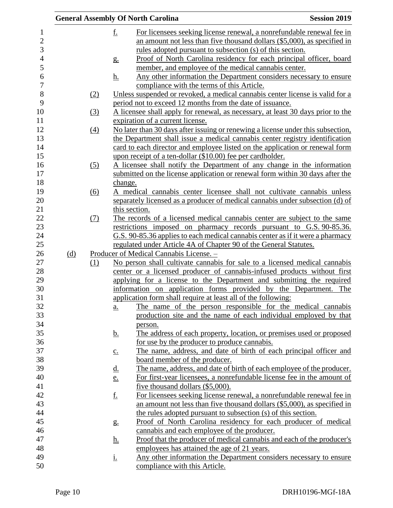|     |                   |                   | <b>General Assembly Of North Carolina</b>                                                                                                       | <b>Session 2019</b> |
|-----|-------------------|-------------------|-------------------------------------------------------------------------------------------------------------------------------------------------|---------------------|
|     |                   | <u>f.</u>         | For licensees seeking license renewal, a nonrefundable renewal fee in                                                                           |                     |
|     |                   |                   | an amount not less than five thousand dollars $(\$5,000)$ , as specified in<br><u>rules</u> adopted pursuant to subsection (s) of this section. |                     |
|     |                   | g <sub>1</sub>    | Proof of North Carolina residency for each principal officer, board                                                                             |                     |
|     |                   | <u>h.</u>         | member, and employee of the medical cannabis center.<br>Any other information the Department considers necessary to ensure                      |                     |
|     |                   |                   | compliance with the terms of this Article.                                                                                                      |                     |
|     | (2)               |                   | Unless suspended or revoked, a medical cannabis center license is valid for a<br>period not to exceed 12 months from the date of issuance.      |                     |
|     | $\left(3\right)$  |                   | A licensee shall apply for renewal, as necessary, at least 30 days prior to the                                                                 |                     |
|     |                   |                   | expiration of a current license.                                                                                                                |                     |
|     | $\underline{(4)}$ |                   | No later than 30 days after issuing or renewing a license under this subsection,                                                                |                     |
|     |                   |                   | the Department shall issue a medical cannabis center registry identification                                                                    |                     |
|     |                   |                   | card to each director and employee listed on the application or renewal form                                                                    |                     |
|     |                   |                   | upon receipt of a ten-dollar (\$10.00) fee per cardholder.                                                                                      |                     |
|     | (5)               |                   | A licensee shall notify the Department of any change in the information                                                                         |                     |
|     |                   |                   | submitted on the license application or renewal form within 30 days after the                                                                   |                     |
|     |                   | change.           |                                                                                                                                                 |                     |
|     | $\underline{(6)}$ |                   | A medical cannabis center licensee shall not cultivate cannabis unless                                                                          |                     |
|     |                   |                   | separately licensed as a producer of medical cannabis under subsection (d) of                                                                   |                     |
|     |                   |                   | this section.                                                                                                                                   |                     |
|     | (7)               |                   | The records of a licensed medical cannabis center are subject to the same                                                                       |                     |
|     |                   |                   | restrictions imposed on pharmacy records pursuant to G.S. 90-85.36.                                                                             |                     |
|     |                   |                   | G.S. 90-85.36 applies to each medical cannabis center as if it were a pharmacy                                                                  |                     |
|     |                   |                   | regulated under Article 4A of Chapter 90 of the General Statutes.                                                                               |                     |
| (d) |                   |                   | Producer of Medical Cannabis License. -                                                                                                         |                     |
|     | (1)               |                   | No person shall cultivate cannabis for sale to a licensed medical cannabis                                                                      |                     |
|     |                   |                   | center or a licensed producer of cannabis-infused products without first                                                                        |                     |
|     |                   |                   | applying for a license to the Department and submitting the required                                                                            |                     |
|     |                   |                   | information on application forms provided by the Department. The                                                                                |                     |
|     |                   |                   | application form shall require at least all of the following:                                                                                   |                     |
|     |                   | <u>a.</u>         | The name of the person responsible for the medical cannabis<br>production site and the name of each individual employed by that                 |                     |
|     |                   |                   |                                                                                                                                                 |                     |
|     |                   | <u>b.</u>         | person.<br>The address of each property, location, or premises used or proposed                                                                 |                     |
|     |                   |                   | for use by the producer to produce cannabis.                                                                                                    |                     |
|     |                   | $\underline{c}$ . | The name, address, and date of birth of each principal officer and                                                                              |                     |
|     |                   |                   | <u>board member of the producer.</u>                                                                                                            |                     |
|     |                   | <u>d.</u>         | The name, address, and date of birth of each employee of the producer.                                                                          |                     |
|     |                   | e.                | For first-year licensees, a nonrefundable license fee in the amount of                                                                          |                     |
|     |                   |                   | five thousand dollars (\$5,000).                                                                                                                |                     |
|     |                   | <u>f.</u>         | For licensees seeking license renewal, a nonrefundable renewal fee in                                                                           |                     |
|     |                   |                   | an amount not less than five thousand dollars $(\$5,000)$ , as specified in                                                                     |                     |
|     |                   |                   | the rules adopted pursuant to subsection (s) of this section.                                                                                   |                     |
|     |                   | g <sub>1</sub>    | Proof of North Carolina residency for each producer of medical                                                                                  |                     |
|     |                   |                   | cannabis and each employee of the producer.                                                                                                     |                     |
|     |                   | <u>h.</u>         | Proof that the producer of medical cannabis and each of the producer's                                                                          |                     |
|     |                   |                   | employees has attained the age of 21 years.                                                                                                     |                     |
|     |                   | <u>i.</u>         | Any other information the Department considers necessary to ensure                                                                              |                     |
|     |                   |                   | compliance with this Article.                                                                                                                   |                     |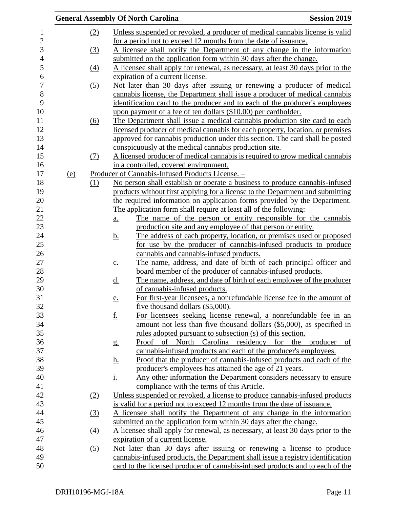|            |                   | <b>General Assembly Of North Carolina</b>                                                | <b>Session 2019</b> |
|------------|-------------------|------------------------------------------------------------------------------------------|---------------------|
|            | (2)               | Unless suspended or revoked, a producer of medical cannabis license is valid             |                     |
|            |                   | for a period not to exceed 12 months from the date of issuance.                          |                     |
|            | (3)               | A licensee shall notify the Department of any change in the information                  |                     |
|            |                   | submitted on the application form within 30 days after the change.                       |                     |
|            |                   | A licensee shall apply for renewal, as necessary, at least 30 days prior to the          |                     |
|            | $\left(4\right)$  | expiration of a current license.                                                         |                     |
|            |                   |                                                                                          |                     |
|            | (5)               | Not later than 30 days after issuing or renewing a producer of medical                   |                     |
|            |                   | cannabis license, the Department shall issue a producer of medical cannabis              |                     |
|            |                   | identification card to the producer and to each of the producer's employees              |                     |
|            |                   | upon payment of a fee of ten dollars (\$10.00) per cardholder.                           |                     |
|            | (6)               | The Department shall issue a medical cannabis production site card to each               |                     |
|            |                   | licensed producer of medical cannabis for each property, location, or premises           |                     |
|            |                   | approved for cannabis production under this section. The card shall be posted            |                     |
|            |                   | conspicuously at the medical cannabis production site.                                   |                     |
|            | <u>(7)</u>        | A licensed producer of medical cannabis is required to grow medical cannabis             |                     |
|            |                   | in a controlled, covered environment.                                                    |                     |
| <u>(e)</u> |                   | Producer of Cannabis-Infused Products License. -                                         |                     |
|            | (1)               | No person shall establish or operate a business to produce cannabis-infused              |                     |
|            |                   | products without first applying for a license to the Department and submitting           |                     |
|            |                   | the required information on application forms provided by the Department.                |                     |
|            |                   | The application form shall require at least all of the following:                        |                     |
|            |                   | The name of the person or entity responsible for the cannabis<br><u>a.</u>               |                     |
|            |                   | production site and any employee of that person or entity.                               |                     |
|            |                   | The address of each property, location, or premises used or proposed<br><u>b.</u>        |                     |
|            |                   | for use by the producer of cannabis-infused products to produce                          |                     |
|            |                   | cannabis and cannabis-infused products.                                                  |                     |
|            |                   | The name, address, and date of birth of each principal officer and<br>$\underline{c}$ .  |                     |
|            |                   | board member of the producer of cannabis-infused products.                               |                     |
|            |                   | The name, address, and date of birth of each employee of the producer<br><u>d.</u>       |                     |
|            |                   | of cannabis-infused products.                                                            |                     |
|            |                   | For first-year licensees, a nonrefundable license fee in the amount of<br>e.             |                     |
|            |                   | five thousand dollars (\$5,000).                                                         |                     |
|            |                   | <u>f.</u><br>For licensees seeking license renewal, a nonrefundable fee in an            |                     |
|            |                   | amount not less than five thousand dollars (\$5,000), as specified in                    |                     |
|            |                   | rules adopted pursuant to subsection (s) of this section.                                |                     |
|            |                   | North Carolina residency for the producer<br>of<br>Proof<br>$g_{\cdot}$                  | of                  |
|            |                   | cannabis-infused products and each of the producer's employees.                          |                     |
|            |                   | <u>Proof that the producer of cannabis-infused products and each of the</u><br><u>h.</u> |                     |
|            |                   | producer's employees has attained the age of 21 years.                                   |                     |
|            |                   | Any other information the Department considers necessary to ensure                       |                     |
|            |                   | <u>i.</u>                                                                                |                     |
|            |                   | compliance with the terms of this Article.                                               |                     |
|            | (2)               | Unless suspended or revoked, a license to produce cannabis-infused products              |                     |
|            |                   | is valid for a period not to exceed 12 months from the date of issuance.                 |                     |
|            | <u>(3)</u>        | A licensee shall notify the Department of any change in the information                  |                     |
|            |                   | submitted on the application form within 30 days after the change.                       |                     |
|            | (4)               | A licensee shall apply for renewal, as necessary, at least 30 days prior to the          |                     |
|            |                   | expiration of a current license.                                                         |                     |
|            | $\left( 5\right)$ | Not later than 30 days after issuing or renewing a license to produce                    |                     |
|            |                   | cannabis-infused products, the Department shall issue a registry identification          |                     |
|            |                   | card to the licensed producer of cannabis-infused products and to each of the            |                     |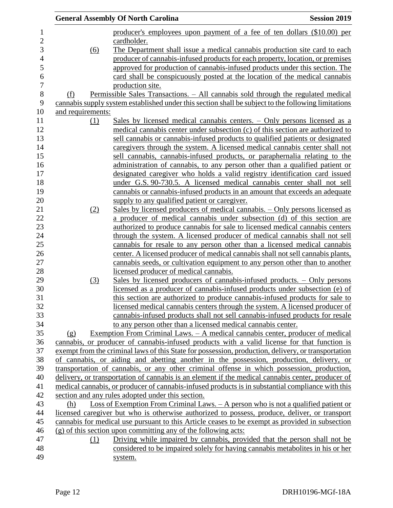|                                |     | <b>General Assembly Of North Carolina</b>                                                           | <b>Session 2019</b> |
|--------------------------------|-----|-----------------------------------------------------------------------------------------------------|---------------------|
|                                |     | producer's employees upon payment of a fee of ten dollars (\$10.00) per                             |                     |
|                                |     | cardholder.                                                                                         |                     |
|                                | (6) | The Department shall issue a medical cannabis production site card to each                          |                     |
|                                |     | producer of cannabis-infused products for each property, location, or premises                      |                     |
|                                |     | approved for production of cannabis-infused products under this section. The                        |                     |
|                                |     | card shall be conspicuously posted at the location of the medical cannabis                          |                     |
|                                |     | production site.                                                                                    |                     |
| (f)                            |     | <u> Permissible Sales Transactions. – All cannabis sold through the regulated medical</u>           |                     |
|                                |     | cannabis supply system established under this section shall be subject to the following limitations |                     |
| and requirements:              |     |                                                                                                     |                     |
|                                | (1) | Sales by licensed medical cannabis centers. – Only persons licensed as a                            |                     |
|                                |     | medical cannabis center under subsection (c) of this section are authorized to                      |                     |
|                                |     | sell cannabis or cannabis-infused products to qualified patients or designated                      |                     |
|                                |     | caregivers through the system. A licensed medical cannabis center shall not                         |                     |
|                                |     | sell cannabis, cannabis-infused products, or paraphernalia relating to the                          |                     |
|                                |     | administration of cannabis, to any person other than a qualified patient or                         |                     |
|                                |     | designated caregiver who holds a valid registry identification card issued                          |                     |
|                                |     | under G.S. 90-730.5. A licensed medical cannabis center shall not sell                              |                     |
|                                |     | cannabis or cannabis-infused products in an amount that exceeds an adequate                         |                     |
|                                |     | supply to any qualified patient or caregiver.                                                       |                     |
|                                | (2) | Sales by licensed producers of medical cannabis. – Only persons licensed as                         |                     |
|                                |     | a producer of medical cannabis under subsection (d) of this section are                             |                     |
|                                |     | authorized to produce cannabis for sale to licensed medical cannabis centers                        |                     |
|                                |     | through the system. A licensed producer of medical cannabis shall not sell                          |                     |
|                                |     | cannabis for resale to any person other than a licensed medical cannabis                            |                     |
|                                |     | center. A licensed producer of medical cannabis shall not sell cannabis plants,                     |                     |
|                                |     | cannabis seeds, or cultivation equipment to any person other than to another                        |                     |
|                                |     | licensed producer of medical cannabis.                                                              |                     |
|                                | (3) | <u>Sales by licensed producers of cannabis-infused products. – Only persons</u>                     |                     |
|                                |     | licensed as a producer of cannabis-infused products under subsection (e) of                         |                     |
|                                |     | this section are authorized to produce cannabis-infused products for sale to                        |                     |
|                                |     | licensed medical cannabis centers through the system. A licensed producer of                        |                     |
|                                |     | cannabis-infused products shall not sell cannabis-infused products for resale                       |                     |
|                                |     | to any person other than a licensed medical cannabis center.                                        |                     |
| $\left( \underline{g} \right)$ |     | Exemption From Criminal Laws. – A medical cannabis center, producer of medical                      |                     |
|                                |     | cannabis, or producer of cannabis-infused products with a valid license for that function is        |                     |
|                                |     | exempt from the criminal laws of this State for possession, production, delivery, or transportation |                     |
|                                |     | of cannabis, or aiding and abetting another in the possession, production, delivery, or             |                     |
|                                |     | transportation of cannabis, or any other criminal offense in which possession, production,          |                     |
|                                |     | delivery, or transportation of cannabis is an element if the medical cannabis center, producer of   |                     |
|                                |     | medical cannabis, or producer of cannabis-infused products is in substantial compliance with this   |                     |
|                                |     | section and any rules adopted under this section.                                                   |                     |
| (h)                            |     | Loss of Exemption From Criminal Laws. $-A$ person who is not a qualified patient or                 |                     |
|                                |     | licensed caregiver but who is otherwise authorized to possess, produce, deliver, or transport       |                     |
|                                |     | cannabis for medical use pursuant to this Article ceases to be exempt as provided in subsection     |                     |
|                                |     | $(g)$ of this section upon committing any of the following acts:                                    |                     |
|                                | (1) | Driving while impaired by cannabis, provided that the person shall not be                           |                     |
|                                |     | considered to be impaired solely for having cannabis metabolities in his or her                     |                     |
|                                |     | system.                                                                                             |                     |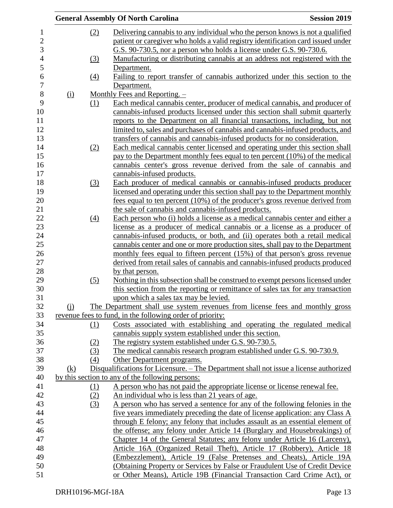|            |     | <b>General Assembly Of North Carolina</b>                                              | <b>Session 2019</b> |
|------------|-----|----------------------------------------------------------------------------------------|---------------------|
|            | (2) | Delivering cannabis to any individual who the person knows is not a qualified          |                     |
|            |     | patient or caregiver who holds a valid registry identification card issued under       |                     |
|            |     | G.S. 90-730.5, nor a person who holds a license under G.S. 90-730.6.                   |                     |
|            | (3) | Manufacturing or distributing cannabis at an address not registered with the           |                     |
|            |     | Department.                                                                            |                     |
|            | (4) | Failing to report transfer of cannabis authorized under this section to the            |                     |
|            |     | Department.                                                                            |                     |
| (i)        |     | Monthly Fees and Reporting. $-$                                                        |                     |
|            | (1) | Each medical cannabis center, producer of medical cannabis, and producer of            |                     |
|            |     | cannabis-infused products licensed under this section shall submit quarterly           |                     |
|            |     | reports to the Department on all financial transactions, including, but not            |                     |
|            |     | limited to, sales and purchases of cannabis and cannabis-infused products, and         |                     |
|            |     | transfers of cannabis and cannabis-infused products for no consideration.              |                     |
|            | (2) | Each medical cannabis center licensed and operating under this section shall           |                     |
|            |     | pay to the Department monthly fees equal to ten percent (10%) of the medical           |                     |
|            |     | cannabis center's gross revenue derived from the sale of cannabis and                  |                     |
|            |     | cannabis-infused products.                                                             |                     |
|            | (3) | Each producer of medical cannabis or cannabis-infused products producer                |                     |
|            |     | licensed and operating under this section shall pay to the Department monthly          |                     |
|            |     | fees equal to ten percent (10%) of the producer's gross revenue derived from           |                     |
|            |     | the sale of cannabis and cannabis-infused products.                                    |                     |
|            | (4) | Each person who (i) holds a license as a medical cannabis center and either a          |                     |
|            |     | license as a producer of medical cannabis or a license as a producer of                |                     |
|            |     | cannabis-infused products, or both, and (ii) operates both a retail medical            |                     |
|            |     | cannabis center and one or more production sites, shall pay to the Department          |                     |
|            |     | monthly fees equal to fifteen percent (15%) of that person's gross revenue             |                     |
|            |     | derived from retail sales of cannabis and cannabis-infused products produced           |                     |
|            |     | by that person.                                                                        |                     |
|            | (5) | Nothing in this subsection shall be construed to exempt persons licensed under         |                     |
|            |     | this section from the reporting or remittance of sales tax for any transaction         |                     |
|            |     | upon which a sales tax may be levied.                                                  |                     |
| (i)        |     | The Department shall use system revenues from license fees and monthly gross           |                     |
|            |     | revenue fees to fund, in the following order of priority:                              |                     |
|            | (1) | Costs associated with establishing and operating the regulated medical                 |                     |
|            |     | cannabis supply system established under this section.                                 |                     |
|            | (2) | The registry system established under G.S. 90-730.5.                                   |                     |
|            | (3) | The medical cannabis research program established under G.S. 90-730.9.                 |                     |
|            | (4) | Other Department programs.                                                             |                     |
|            |     | Disqualifications for Licensure. – The Department shall not issue a license authorized |                     |
| <u>(k)</u> |     |                                                                                        |                     |
|            |     | by this section to any of the following persons:                                       |                     |
|            | (1) | A person who has not paid the appropriate license or license renewal fee.              |                     |
|            | (2) | An individual who is less than 21 years of age.                                        |                     |
|            | (3) | A person who has served a sentence for any of the following felonies in the            |                     |
|            |     | five years immediately preceding the date of license application: any Class A          |                     |
|            |     | through E felony; any felony that includes assault as an essential element of          |                     |
|            |     | the offense; any felony under Article 14 (Burglary and Housebreakings) of              |                     |
|            |     | Chapter 14 of the General Statutes; any felony under Article 16 (Larceny),             |                     |
|            |     | Article 16A (Organized Retail Theft), Article 17 (Robbery), Article 18                 |                     |
|            |     | (Embezzlement), Article 19 (False Pretenses and Cheats), Article 19A                   |                     |
|            |     | (Obtaining Property or Services by False or Fraudulent Use of Credit Device            |                     |
|            |     | or Other Means), Article 19B (Financial Transaction Card Crime Act), or                |                     |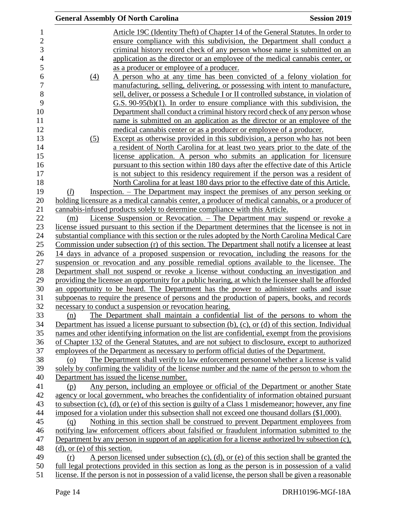|                                   | <b>General Assembly Of North Carolina</b>                                                                                                                                                                     | <b>Session 2019</b> |
|-----------------------------------|---------------------------------------------------------------------------------------------------------------------------------------------------------------------------------------------------------------|---------------------|
|                                   | Article 19C (Identity Theft) of Chapter 14 of the General Statutes. In order to                                                                                                                               |                     |
|                                   | ensure compliance with this subdivision, the Department shall conduct a                                                                                                                                       |                     |
|                                   | criminal history record check of any person whose name is submitted on an                                                                                                                                     |                     |
|                                   | application as the director or an employee of the medical cannabis center, or                                                                                                                                 |                     |
|                                   | as a producer or employee of a producer.                                                                                                                                                                      |                     |
| (4)                               | A person who at any time has been convicted of a felony violation for                                                                                                                                         |                     |
|                                   | manufacturing, selling, delivering, or possessing with intent to manufacture,                                                                                                                                 |                     |
|                                   | sell, deliver, or possess a Schedule I or II controlled substance, in violation of                                                                                                                            |                     |
|                                   | $G.S. 90-95(b)(1)$ . In order to ensure compliance with this subdivision, the                                                                                                                                 |                     |
|                                   | Department shall conduct a criminal history record check of any person whose                                                                                                                                  |                     |
|                                   | name is submitted on an application as the director or an employee of the                                                                                                                                     |                     |
|                                   | medical cannabis center or as a producer or employee of a producer.                                                                                                                                           |                     |
| (5)                               | Except as otherwise provided in this subdivision, a person who has not been                                                                                                                                   |                     |
|                                   | a resident of North Carolina for at least two years prior to the date of the                                                                                                                                  |                     |
|                                   | license application. A person who submits an application for licensure                                                                                                                                        |                     |
|                                   | pursuant to this section within 180 days after the effective date of this Article                                                                                                                             |                     |
|                                   | is not subject to this residency requirement if the person was a resident of                                                                                                                                  |                     |
|                                   | North Carolina for at least 180 days prior to the effective date of this Article.                                                                                                                             |                     |
| (l)                               | Inspection. – The Department may inspect the premises of any person seeking or                                                                                                                                |                     |
|                                   | holding licensure as a medical cannabis center, a producer of medical cannabis, or a producer of                                                                                                              |                     |
|                                   | cannabis-infused products solely to determine compliance with this Article.                                                                                                                                   |                     |
| (m)                               | License Suspension or Revocation. – The Department may suspend or revoke a                                                                                                                                    |                     |
|                                   | license issued pursuant to this section if the Department determines that the licensee is not in                                                                                                              |                     |
|                                   | substantial compliance with this section or the rules adopted by the North Carolina Medical Care                                                                                                              |                     |
|                                   | Commission under subsection (r) of this section. The Department shall notify a licensee at least                                                                                                              |                     |
|                                   | 14 days in advance of a proposed suspension or revocation, including the reasons for the                                                                                                                      |                     |
|                                   | suspension or revocation and any possible remedial options available to the licensee. The                                                                                                                     |                     |
|                                   | Department shall not suspend or revoke a license without conducting an investigation and                                                                                                                      |                     |
|                                   | providing the licensee an opportunity for a public hearing, at which the licensee shall be afforded                                                                                                           |                     |
|                                   | an opportunity to be heard. The Department has the power to administer oaths and issue                                                                                                                        |                     |
|                                   | subpoenas to require the presence of persons and the production of papers, books, and records                                                                                                                 |                     |
|                                   | necessary to conduct a suspension or revocation hearing.                                                                                                                                                      |                     |
| (n)                               | The Department shall maintain a confidential list of the persons to whom the                                                                                                                                  |                     |
|                                   | Department has issued a license pursuant to subsection $(b)$ , $(c)$ , or $(d)$ of this section. Individual                                                                                                   |                     |
|                                   | names and other identifying information on the list are confidential, exempt from the provisions                                                                                                              |                     |
|                                   | of Chapter 132 of the General Statutes, and are not subject to disclosure, except to authorized                                                                                                               |                     |
|                                   | employees of the Department as necessary to perform official duties of the Department.                                                                                                                        |                     |
| (o)                               | The Department shall verify to law enforcement personnel whether a license is valid                                                                                                                           |                     |
|                                   | solely by confirming the validity of the license number and the name of the person to whom the                                                                                                                |                     |
|                                   | Department has issued the license number.                                                                                                                                                                     |                     |
| (p)                               | Any person, including an employee or official of the Department or another State                                                                                                                              |                     |
|                                   | agency or local government, who breaches the confidentiality of information obtained pursuant<br>to subsection $(c)$ , $(d)$ , or $(e)$ of this section is guilty of a Class 1 misdemeanor; however, any fine |                     |
|                                   | imposed for a violation under this subsection shall not exceed one thousand dollars (\$1,000).                                                                                                                |                     |
|                                   | Nothing in this section shall be construed to prevent Department employees from                                                                                                                               |                     |
| (q)                               | notifying law enforcement officers about falsified or fraudulent information submitted to the                                                                                                                 |                     |
|                                   | Department by any person in support of an application for a license authorized by subsection (c),                                                                                                             |                     |
| $(d)$ , or $(e)$ of this section. |                                                                                                                                                                                                               |                     |
| (r)                               |                                                                                                                                                                                                               |                     |
|                                   |                                                                                                                                                                                                               |                     |
|                                   | A person licensed under subsection $(c)$ , $(d)$ , or $(e)$ of this section shall be granted the<br>full legal protections provided in this section as long as the person is in possession of a valid         |                     |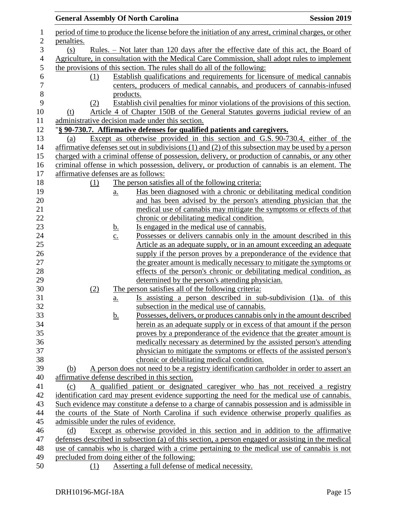|            | <b>General Assembly Of North Carolina</b>                                                             | <b>Session 2019</b> |
|------------|-------------------------------------------------------------------------------------------------------|---------------------|
|            | period of time to produce the license before the initiation of any arrest, criminal charges, or other |                     |
| penalties. |                                                                                                       |                     |
| (s)        | <u>Rules. – Not later than 120 days after the effective date of this act, the Board of</u>            |                     |
|            | Agriculture, in consultation with the Medical Care Commission, shall adopt rules to implement         |                     |
|            | the provisions of this section. The rules shall do all of the following:                              |                     |
| (1)        | Establish qualifications and requirements for licensure of medical cannabis                           |                     |
|            | centers, producers of medical cannabis, and producers of cannabis-infused                             |                     |
|            | products.                                                                                             |                     |
| (2)        | Establish civil penalties for minor violations of the provisions of this section.                     |                     |
| (t)        | Article 4 of Chapter 150B of the General Statutes governs judicial review of an                       |                     |
|            | administrative decision made under this section.                                                      |                     |
|            | "§ 90-730.7. Affirmative defenses for qualified patients and caregivers.                              |                     |
| (a)        | Except as otherwise provided in this section and G.S. 90-730.4, either of the                         |                     |
|            | affirmative defenses set out in subdivisions (1) and (2) of this subsection may be used by a person   |                     |
|            | charged with a criminal offense of possession, delivery, or production of cannabis, or any other      |                     |
|            | criminal offense in which possession, delivery, or production of cannabis is an element. The          |                     |
|            | affirmative defenses are as follows:                                                                  |                     |
| (1)        | The person satisfies all of the following criteria:                                                   |                     |
|            | Has been diagnosed with a chronic or debilitating medical condition<br>$\underline{a}$ .              |                     |
|            | and has been advised by the person's attending physician that the                                     |                     |
|            | medical use of cannabis may mitigate the symptoms or effects of that                                  |                     |
|            | chronic or debilitating medical condition.                                                            |                     |
|            | Is engaged in the medical use of cannabis.<br><u>b.</u>                                               |                     |
|            | Possesses or delivers cannabis only in the amount described in this<br>$\underline{c}$ .              |                     |
|            | Article as an adequate supply, or in an amount exceeding an adequate                                  |                     |
|            | supply if the person proves by a preponderance of the evidence that                                   |                     |
|            | the greater amount is medically necessary to mitigate the symptoms or                                 |                     |
|            | effects of the person's chronic or debilitating medical condition, as                                 |                     |
|            | determined by the person's attending physician.                                                       |                     |
| (2)        | The person satisfies all of the following criteria:                                                   |                     |
|            | Is assisting a person described in sub-subdivision (1)a. of this<br>a.                                |                     |
|            | subsection in the medical use of cannabis.                                                            |                     |
|            | Possesses, delivers, or produces cannabis only in the amount described<br><u>b.</u>                   |                     |
|            | herein as an adequate supply or in excess of that amount if the person                                |                     |
|            | proves by a preponderance of the evidence that the greater amount is                                  |                     |
|            | medically necessary as determined by the assisted person's attending                                  |                     |
|            | physician to mitigate the symptoms or effects of the assisted person's                                |                     |
|            | chronic or debilitating medical condition.                                                            |                     |
| (b)        | A person does not need to be a registry identification cardholder in order to assert an               |                     |
|            | affirmative defense described in this section.                                                        |                     |
| (c)        | A qualified patient or designated caregiver who has not received a registry                           |                     |
|            | identification card may present evidence supporting the need for the medical use of cannabis.         |                     |
|            | Such evidence may constitute a defense to a charge of cannabis possession and is admissible in        |                     |
|            | the courts of the State of North Carolina if such evidence otherwise properly qualifies as            |                     |
|            | admissible under the rules of evidence.                                                               |                     |
| (d)        | Except as otherwise provided in this section and in addition to the affirmative                       |                     |
|            | defenses described in subsection (a) of this section, a person engaged or assisting in the medical    |                     |
|            | use of cannabis who is charged with a crime pertaining to the medical use of cannabis is not          |                     |
|            | precluded from doing either of the following:                                                         |                     |
| (1)        | Asserting a full defense of medical necessity.                                                        |                     |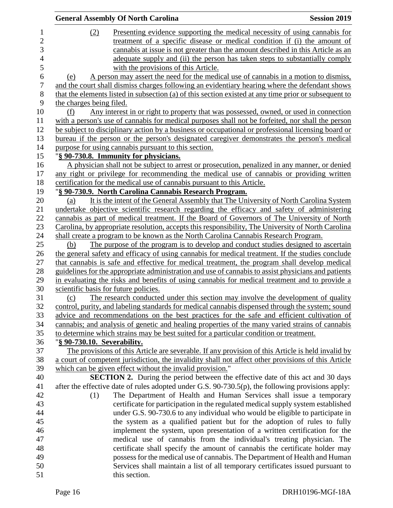|                |                             | <b>General Assembly Of North Carolina</b>                                                                                                                  | <b>Session 2019</b> |
|----------------|-----------------------------|------------------------------------------------------------------------------------------------------------------------------------------------------------|---------------------|
| $\mathbf{1}$   | (2)                         | Presenting evidence supporting the medical necessity of using cannabis for                                                                                 |                     |
| $\overline{c}$ |                             | treatment of a specific disease or medical condition if (i) the amount of                                                                                  |                     |
| 3              |                             | cannabis at issue is not greater than the amount described in this Article as an                                                                           |                     |
| $\overline{4}$ |                             | adequate supply and (ii) the person has taken steps to substantially comply                                                                                |                     |
| 5              |                             | with the provisions of this Article.                                                                                                                       |                     |
| 6              | (e)                         | A person may assert the need for the medical use of cannabis in a motion to dismiss,                                                                       |                     |
| 7              |                             | and the court shall dismiss charges following an evidentiary hearing where the defendant shows                                                             |                     |
| 8              |                             | that the elements listed in subsection (a) of this section existed at any time prior or subsequent to                                                      |                     |
| 9              | the charges being filed.    |                                                                                                                                                            |                     |
| 10             | (f)                         | Any interest in or right to property that was possessed, owned, or used in connection                                                                      |                     |
| 11             |                             | with a person's use of cannabis for medical purposes shall not be forfeited, nor shall the person                                                          |                     |
| 12             |                             | be subject to disciplinary action by a business or occupational or professional licensing board or                                                         |                     |
| 13             |                             | bureau if the person or the person's designated caregiver demonstrates the person's medical                                                                |                     |
| 14             |                             | purpose for using cannabis pursuant to this section.                                                                                                       |                     |
| 15             |                             | "§ 90-730.8. Immunity for physicians.                                                                                                                      |                     |
| 16             |                             | A physician shall not be subject to arrest or prosecution, penalized in any manner, or denied                                                              |                     |
| 17             |                             | any right or privilege for recommending the medical use of cannabis or providing written                                                                   |                     |
| 18             |                             | certification for the medical use of cannabis pursuant to this Article.                                                                                    |                     |
| 19             |                             | "§ 90-730.9. North Carolina Cannabis Research Program.                                                                                                     |                     |
| 20             | (a)                         | It is the intent of the General Assembly that The University of North Carolina System                                                                      |                     |
| 21             |                             | undertake objective scientific research regarding the efficacy and safety of administering                                                                 |                     |
| 22             |                             | cannabis as part of medical treatment. If the Board of Governors of The University of North                                                                |                     |
| 23             |                             | Carolina, by appropriate resolution, accepts this responsibility, The University of North Carolina                                                         |                     |
| 24             |                             | shall create a program to be known as the North Carolina Cannabis Research Program.                                                                        |                     |
| 25             | (b)                         | The purpose of the program is to develop and conduct studies designed to ascertain                                                                         |                     |
| 26             |                             | the general safety and efficacy of using cannabis for medical treatment. If the studies conclude                                                           |                     |
| 27             |                             | that cannabis is safe and effective for medical treatment, the program shall develop medical                                                               |                     |
| 28             |                             | guidelines for the appropriate administration and use of cannabis to assist physicians and patients                                                        |                     |
| 29             |                             | in evaluating the risks and benefits of using cannabis for medical treatment and to provide a                                                              |                     |
| 30             |                             | scientific basis for future policies.                                                                                                                      |                     |
| 31             | (c)                         | The research conducted under this section may involve the development of quality                                                                           |                     |
| 32             |                             | control, purity, and labeling standards for medical cannabis dispensed through the system; sound                                                           |                     |
| 33             |                             | advice and recommendations on the best practices for the safe and efficient cultivation of                                                                 |                     |
| 34             |                             | cannabis; and analysis of genetic and healing properties of the many varied strains of cannabis                                                            |                     |
| 35             |                             | to determine which strains may be best suited for a particular condition or treatment.                                                                     |                     |
| 36             | "§ 90-730.10. Severability. |                                                                                                                                                            |                     |
| 37             |                             | The provisions of this Article are severable. If any provision of this Article is held invalid by                                                          |                     |
| 38             |                             | a court of competent jurisdiction, the invalidity shall not affect other provisions of this Article                                                        |                     |
| 39             |                             | which can be given effect without the invalid provision."                                                                                                  |                     |
| 40             |                             | <b>SECTION 2.</b> During the period between the effective date of this act and 30 days                                                                     |                     |
| 41             |                             | after the effective date of rules adopted under G.S. 90-730.5(p), the following provisions apply:                                                          |                     |
| 42             | (1)                         | The Department of Health and Human Services shall issue a temporary                                                                                        |                     |
| 43             |                             | certificate for participation in the regulated medical supply system established                                                                           |                     |
| 44             |                             | under G.S. 90-730.6 to any individual who would be eligible to participate in                                                                              |                     |
| 45             |                             | the system as a qualified patient but for the adoption of rules to fully                                                                                   |                     |
| 46<br>47       |                             | implement the system, upon presentation of a written certification for the                                                                                 |                     |
| 48             |                             | medical use of cannabis from the individual's treating physician. The                                                                                      |                     |
| 49             |                             | certificate shall specify the amount of cannabis the certificate holder may<br>possess for the medical use of cannabis. The Department of Health and Human |                     |
| 50             |                             | Services shall maintain a list of all temporary certificates issued pursuant to                                                                            |                     |
| 51             |                             | this section.                                                                                                                                              |                     |
|                |                             |                                                                                                                                                            |                     |